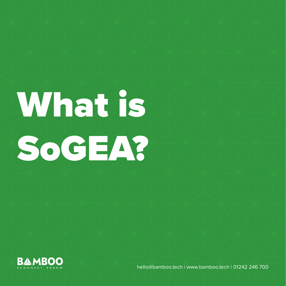## What is SoGEA?

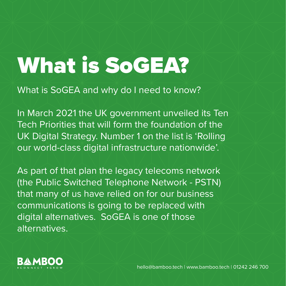## What is SoGEA?

What is SoGEA and why do I need to know?

In March 2021 the UK government unveiled its Ten Tech Priorities that will form the foundation of the UK Digital Strategy. Number 1 on the list is 'Rolling our world-class digital infrastructure nationwide'.

As part of that plan the legacy telecoms network (the Public Switched Telephone Network - PSTN) that many of us have relied on for our business communications is going to be replaced with digital alternatives. SoGEA is one of those alternatives.

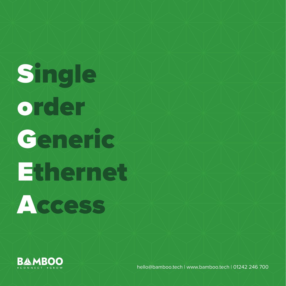## Single order Generic Ethernet

**Access** 

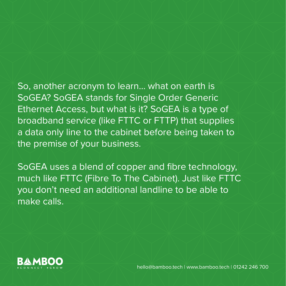So, another acronym to learn… what on earth is SoGEA? SoGEA stands for Single Order Generic Ethernet Access, but what is it? SoGEA is a type of broadband service (like FTTC or FTTP) that supplies a data only line to the cabinet before being taken to the premise of your business.

SoGEA uses a blend of copper and fibre technology, much like FTTC (Fibre To The Cabinet). Just like FTTC you don't need an additional landline to be able to make calls.

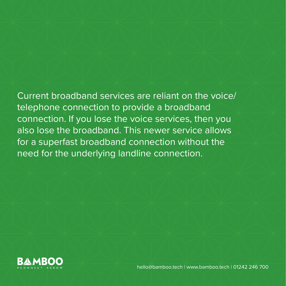Current broadband services are reliant on the voice/ telephone connection to provide a broadband connection. If you lose the voice services, then you also lose the broadband. This newer service allows for a superfast broadband connection without the need for the underlying landline connection.

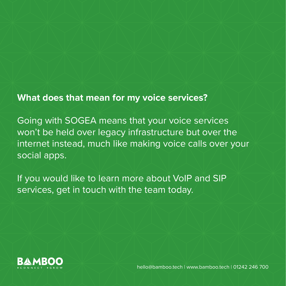**What does that mean for my voice services?**

Going with SOGEA means that your voice services won't be held over legacy infrastructure but over the internet instead, much like making voice calls over your social apps.

If you would like to learn more about VoIP and SIP services, get in touch with the team today.